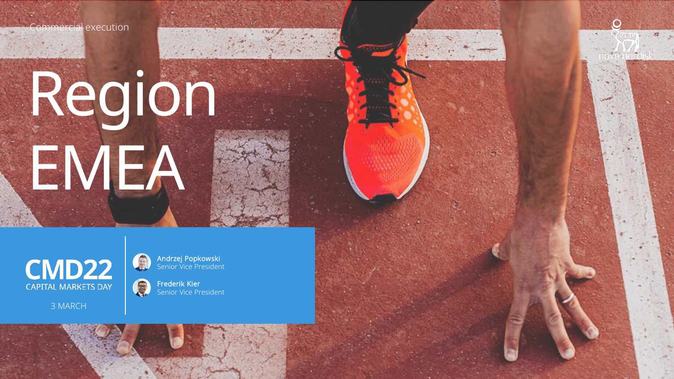mmercial execution

1

# Region EMEA



3 MARCH

Andrzej Popkowski Senior Vice President Novo Nordisk

 $\bullet$ 

Frederik Kier Senior Vice President

E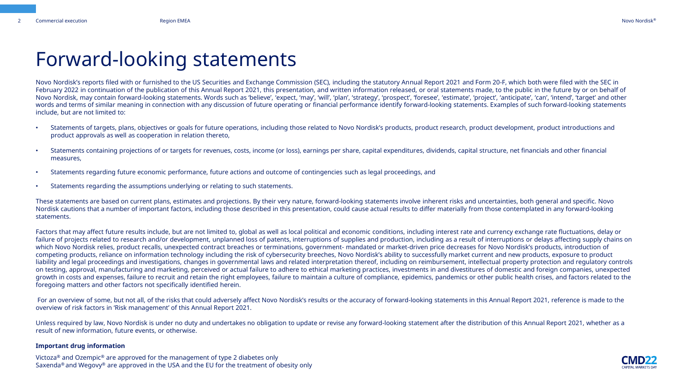## Forward-looking statements

Novo Nordisk's reports filed with or furnished to the US Securities and Exchange Commission (SEC), including the statutory Annual Report 2021 and Form 20-F, which both were filed with the SEC in February 2022 in continuation of the publication of this Annual Report 2021, this presentation, and written information released, or oral statements made, to the public in the future by or on behalf of Novo Nordisk, may contain forward-looking statements. Words such as 'believe', 'expect, 'may', 'will', 'plan', 'strategy', 'prospect', 'foresee', 'estimate', 'project', 'anticipate', 'can', 'intend', 'target' and other words and terms of similar meaning in connection with any discussion of future operating or financial performance identify forward-looking statements. Examples of such forward-looking statements include, but are not limited to:

- Statements of targets, plans, objectives or goals for future operations, including those related to Novo Nordisk's products, product research, product development, product introductions and product approvals as well as cooperation in relation thereto,
- Statements containing projections of or targets for revenues, costs, income (or loss), earnings per share, capital expenditures, dividends, capital structure, net financials and other financial measures,
- Statements regarding future economic performance, future actions and outcome of contingencies such as legal proceedings, and
- Statements regarding the assumptions underlying or relating to such statements.

These statements are based on current plans, estimates and projections. By their very nature, forward-looking statements involve inherent risks and uncertainties, both general and specific. Novo Nordisk cautions that a number of important factors, including those described in this presentation, could cause actual results to differ materially from those contemplated in any forward-looking statements.

Factors that may affect future results include, but are not limited to, global as well as local political and economic conditions, including interest rate and currency exchange rate fluctuations, delay or failure of projects related to research and/or development, unplanned loss of patents, interruptions of supplies and production, including as a result of interruptions or delays affecting supply chains on which Novo Nordisk relies, product recalls, unexpected contract breaches or terminations, government- mandated or market-driven price decreases for Novo Nordisk's products, introduction of competing products, reliance on information technology including the risk of cybersecurity breeches, Novo Nordisk's ability to successfully market current and new products, exposure to product liability and legal proceedings and investigations, changes in governmental laws and related interpretation thereof, including on reimbursement, intellectual property protection and regulatory controls on testing, approval, manufacturing and marketing, perceived or actual failure to adhere to ethical marketing practices, investments in and divestitures of domestic and foreign companies, unexpected growth in costs and expenses, failure to recruit and retain the right employees, failure to maintain a culture of compliance, epidemics, pandemics or other public health crises, and factors related to the foregoing matters and other factors not specifically identified herein.

For an overview of some, but not all, of the risks that could adversely affect Novo Nordisk's results or the accuracy of forward-looking statements in this Annual Report 2021, reference is made to the overview of risk factors in 'Risk management' of this Annual Report 2021.

Unless required by law, Novo Nordisk is under no duty and undertakes no obligation to update or revise any forward-looking statement after the distribution of this Annual Report 2021, whether as a result of new information, future events, or otherwise.

#### **Important drug information**

Victoza® and Ozempic® are approved for the management of type 2 diabetes only Saxenda<sup>®</sup> and Wegovy<sup>®</sup> are approved in the USA and the EU for the treatment of obesity only

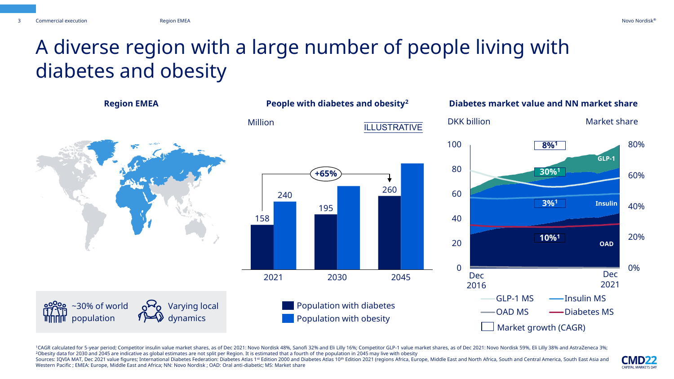## A diverse region with a large number of people living with diabetes and obesity



1CAGR calculated for 5-year period; Competitor insulin value market shares, as of Dec 2021: Novo Nordisk 48%, Sanofi 32% and Eli Lilly 16%; Competitor GLP-1 value market shares, as of Dec 2021: Novo Nordisk 59%, Eli Lilly <sup>2</sup>Obesity data for 2030 and 2045 are indicative as global estimates are not split per Region. It is estimated that a fourth of the population in 2045 may live with obesity

Sources: IQVIA MAT, Dec 2021 value figures; International Diabetes Federation: Diabetes Atlas 1st Edition 2000 and Diabetes Atlas 10th Edition 2021 (regions Africa, Europe, Middle East and North Africa, South and Central A Western Pacific ; EMEA: Europe, Middle East and Africa; NN: Novo Nordisk ; OAD: Oral anti-diabetic; MS: Market share

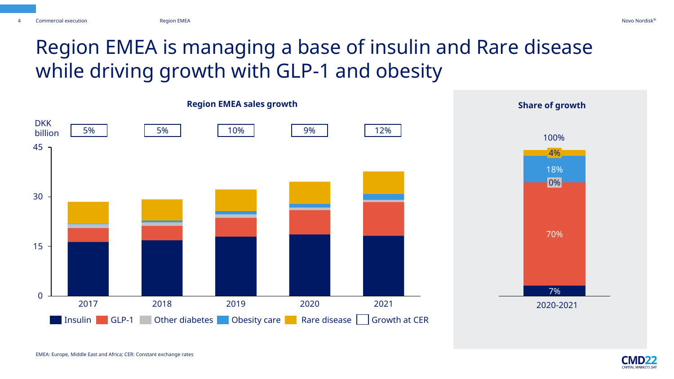## Region EMEA is managing a base of insulin and Rare disease while driving growth with GLP-1 and obesity



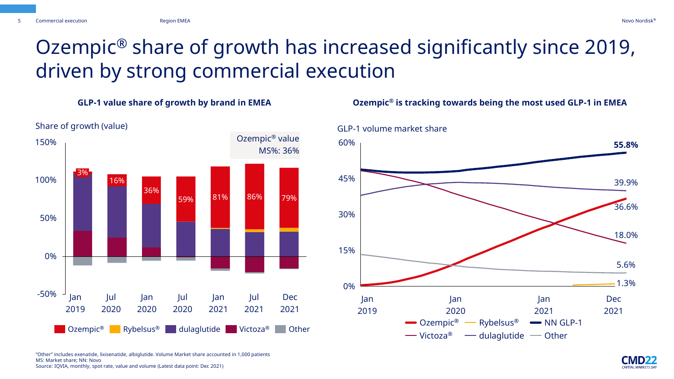Share of growth (value)

## Ozempic® share of growth has increased significantly since 2019, driven by strong commercial execution

59% 81% 86% 79% 16% 36% -50% 0% 50% 100% 150% 3% **COLECTE SET IN SUITE OF THE OTHER** ORDER TO A REPORT OF REPORT OF THE RYBELLS OF A LIGHT OF COLLECTE OF A LIGHT OF DET Jan 2019 Jan 2020 Dec 2021 Jan 2021 Jul 2021 Jul 2020 Jul 2020 Ozempic® value MS%: 36%

#### **GLP-1 value share of growth by brand in EMEA Ozempic® is tracking towards being the most used GLP-1 in EMEA**



"Other" includes exenatide, lixisenatide, albiglutide. Volume Market share accounted in 1,000 patients MS: Market share; NN: Novo Source: IQVIA, monthly, spot rate, value and volume (Latest data point: Dec 2021)

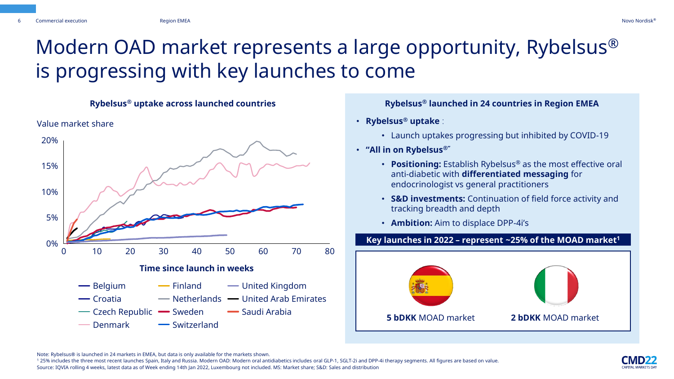## Modern OAD market represents a large opportunity, Rybelsus® is progressing with key launches to come



- **Rybelsus® uptake** :
	- Launch uptakes progressing but inhibited by COVID-19
- **"All in on Rybelsus®"**
	- **Positioning:** Establish Rybelsus® as the most effective oral anti-diabetic with **differentiated messaging** for endocrinologist vs general practitioners
	- **S&D investments:** Continuation of field force activity and tracking breadth and depth
	- **Ambition:** Aim to displace DPP-4i's

#### **Key launches in 2022 – represent ~25% of the MOAD market<sup>1</sup>**



Note: Rybelsus® is launched in 24 markets in EMEA, but data is only available for the markets shown.

<sup>1</sup> 25% includes the three most recent launches Spain, Italy and Russia. Modern OAD: Modern oral antidiabetics includes oral GLP-1, SGLT-2i and DPP-4i therapy segments. All figures are based on value. Source: IQVIA rolling 4 weeks, latest data as of Week ending 14th Jan 2022, Luxembourg not included. MS: Market share; S&D: Sales and distribution

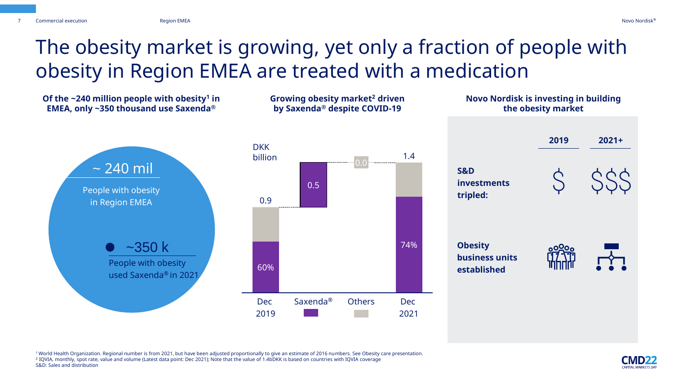7

## The obesity market is growing, yet only a fraction of people with obesity in Region EMEA are treated with a medication



<sup>1</sup>World Health Organization. Regional number is from 2021, but have been adjusted proportionally to give an estimate of 2016 numbers. See Obesity care presentation. 2 IQVIA, monthly, spot rate, value and volume (Latest data point: Dec 2021); Note that the value of 1.4bDKK is based on countries with IQVIA coverage S&D: Sales and distribution

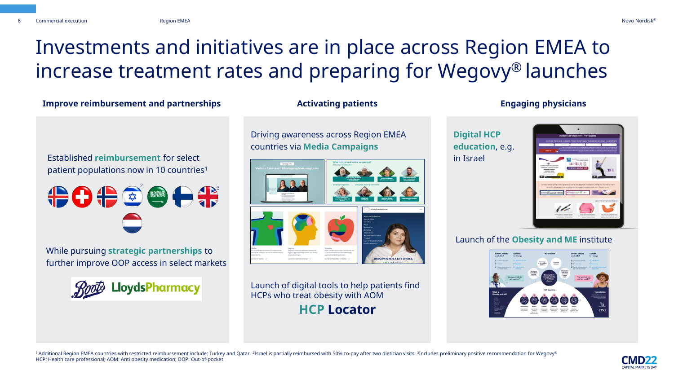# Investments and initiatives are in place across Region EMEA to increase treatment rates and preparing for Wegovy® launches

### Improve reimbursement and partnerships **Activating patients Engaging physicians**

Established **reimbursement** for select patient populations now in 10 countries<sup>1</sup>



While pursuing **strategic partnerships** to further improve OOP access in select markets

LloydsPharmacy

Driving awareness across Region EMEA countries via **Media Campaigns**



Launch of digital tools to help patients find HCPs who treat obesity with AOM **HCP Locator**

## **Digital HCP education**, e.g. in Israel



## Launch of the **Obesity and ME** institute



 $^1$  Additional Region EMEA countries with restricted reimbursement include: Turkey and Qatar.  $^2$ Israel is partially reimbursed with 50% co-pay after two dietician visits.  $^3$ Includes preliminary positive recommendatio HCP: Health care professional; AOM: Anti obesity medication; OOP: Out-of-pocket